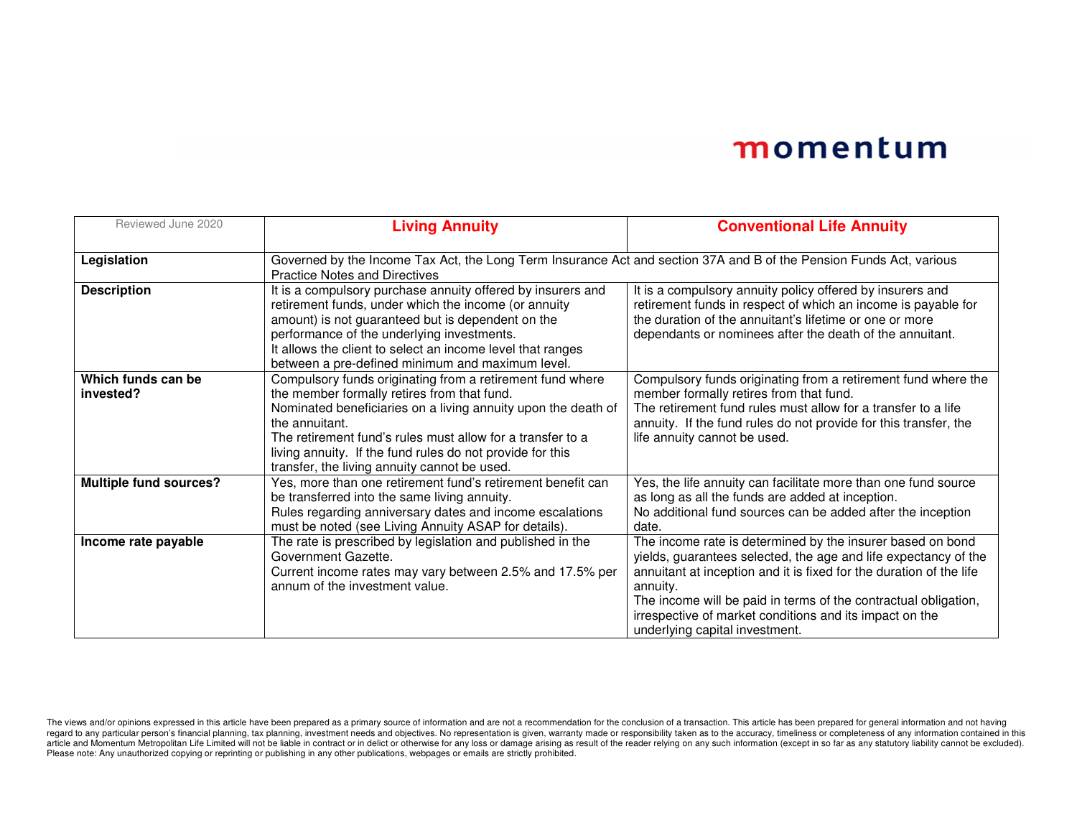| Reviewed June 2020              | <b>Living Annuity</b>                                                                                                                                                                                                                                                                                                                                                  | <b>Conventional Life Annuity</b>                                                                                                                                                                                                                                                                                                                                                 |  |
|---------------------------------|------------------------------------------------------------------------------------------------------------------------------------------------------------------------------------------------------------------------------------------------------------------------------------------------------------------------------------------------------------------------|----------------------------------------------------------------------------------------------------------------------------------------------------------------------------------------------------------------------------------------------------------------------------------------------------------------------------------------------------------------------------------|--|
| Legislation                     | Governed by the Income Tax Act, the Long Term Insurance Act and section 37A and B of the Pension Funds Act, various<br><b>Practice Notes and Directives</b>                                                                                                                                                                                                            |                                                                                                                                                                                                                                                                                                                                                                                  |  |
| <b>Description</b>              | It is a compulsory purchase annuity offered by insurers and<br>retirement funds, under which the income (or annuity<br>amount) is not guaranteed but is dependent on the<br>performance of the underlying investments.<br>It allows the client to select an income level that ranges<br>between a pre-defined minimum and maximum level.                               | It is a compulsory annuity policy offered by insurers and<br>retirement funds in respect of which an income is payable for<br>the duration of the annuitant's lifetime or one or more<br>dependants or nominees after the death of the annuitant.                                                                                                                                |  |
| Which funds can be<br>invested? | Compulsory funds originating from a retirement fund where<br>the member formally retires from that fund.<br>Nominated beneficiaries on a living annuity upon the death of<br>the annuitant.<br>The retirement fund's rules must allow for a transfer to a<br>living annuity. If the fund rules do not provide for this<br>transfer, the living annuity cannot be used. | Compulsory funds originating from a retirement fund where the<br>member formally retires from that fund.<br>The retirement fund rules must allow for a transfer to a life<br>annuity. If the fund rules do not provide for this transfer, the<br>life annuity cannot be used.                                                                                                    |  |
| <b>Multiple fund sources?</b>   | Yes, more than one retirement fund's retirement benefit can<br>be transferred into the same living annuity.<br>Rules regarding anniversary dates and income escalations<br>must be noted (see Living Annuity ASAP for details).                                                                                                                                        | Yes, the life annuity can facilitate more than one fund source<br>as long as all the funds are added at inception.<br>No additional fund sources can be added after the inception<br>date.                                                                                                                                                                                       |  |
| Income rate payable             | The rate is prescribed by legislation and published in the<br>Government Gazette.<br>Current income rates may vary between 2.5% and 17.5% per<br>annum of the investment value.                                                                                                                                                                                        | The income rate is determined by the insurer based on bond<br>yields, guarantees selected, the age and life expectancy of the<br>annuitant at inception and it is fixed for the duration of the life<br>annuity.<br>The income will be paid in terms of the contractual obligation,<br>irrespective of market conditions and its impact on the<br>underlying capital investment. |  |

The views and/or opinions expressed in this article have been prepared as a primary source of information and are not a recommendation for the conclusion of a transaction. This article has been prepared for general informa Please note: Any unauthorized copying or reprinting or publishing in any other publications, webpages or emails are strictly prohibited.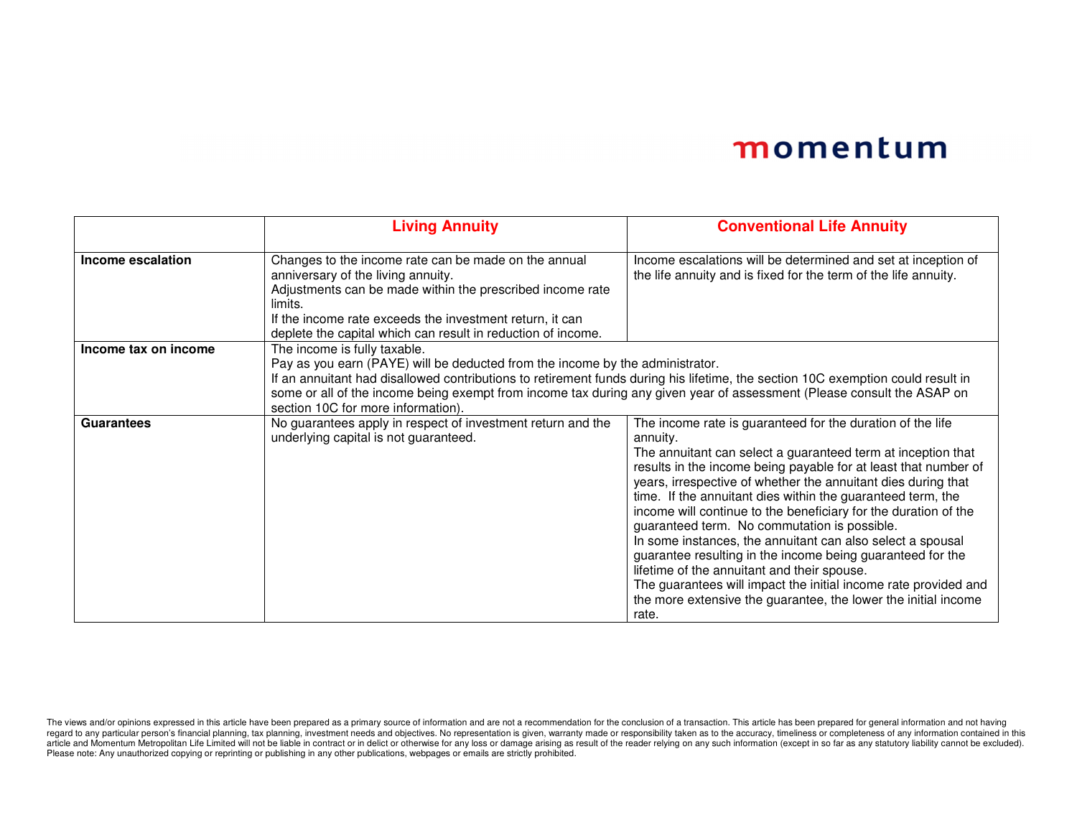|                      | <b>Living Annuity</b>                                                                                                                                                                                                                                                                                                                                                                                            | <b>Conventional Life Annuity</b>                                                                                                                                                                                                                                                                                                                                                                                                                                                                                                                                                                                                                                                                                                                                                      |  |
|----------------------|------------------------------------------------------------------------------------------------------------------------------------------------------------------------------------------------------------------------------------------------------------------------------------------------------------------------------------------------------------------------------------------------------------------|---------------------------------------------------------------------------------------------------------------------------------------------------------------------------------------------------------------------------------------------------------------------------------------------------------------------------------------------------------------------------------------------------------------------------------------------------------------------------------------------------------------------------------------------------------------------------------------------------------------------------------------------------------------------------------------------------------------------------------------------------------------------------------------|--|
| Income escalation    | Changes to the income rate can be made on the annual<br>anniversary of the living annuity.<br>Adjustments can be made within the prescribed income rate<br>limits.<br>If the income rate exceeds the investment return, it can<br>deplete the capital which can result in reduction of income.                                                                                                                   | Income escalations will be determined and set at inception of<br>the life annuity and is fixed for the term of the life annuity.                                                                                                                                                                                                                                                                                                                                                                                                                                                                                                                                                                                                                                                      |  |
| Income tax on income | The income is fully taxable.<br>Pay as you earn (PAYE) will be deducted from the income by the administrator.<br>If an annuitant had disallowed contributions to retirement funds during his lifetime, the section 10C exemption could result in<br>some or all of the income being exempt from income tax during any given year of assessment (Please consult the ASAP on<br>section 10C for more information). |                                                                                                                                                                                                                                                                                                                                                                                                                                                                                                                                                                                                                                                                                                                                                                                       |  |
| <b>Guarantees</b>    | No guarantees apply in respect of investment return and the<br>underlying capital is not guaranteed.                                                                                                                                                                                                                                                                                                             | The income rate is guaranteed for the duration of the life<br>annuity.<br>The annuitant can select a guaranteed term at inception that<br>results in the income being payable for at least that number of<br>years, irrespective of whether the annuitant dies during that<br>time. If the annuitant dies within the guaranteed term, the<br>income will continue to the beneficiary for the duration of the<br>guaranteed term. No commutation is possible.<br>In some instances, the annuitant can also select a spousal<br>guarantee resulting in the income being guaranteed for the<br>lifetime of the annuitant and their spouse.<br>The guarantees will impact the initial income rate provided and<br>the more extensive the guarantee, the lower the initial income<br>rate. |  |

The views and/or opinions expressed in this article have been prepared as a primary source of information and are not a recommendation for the conclusion of a transaction. This article has been prepared for general informa Please note: Any unauthorized copying or reprinting or publishing in any other publications, webpages or emails are strictly prohibited.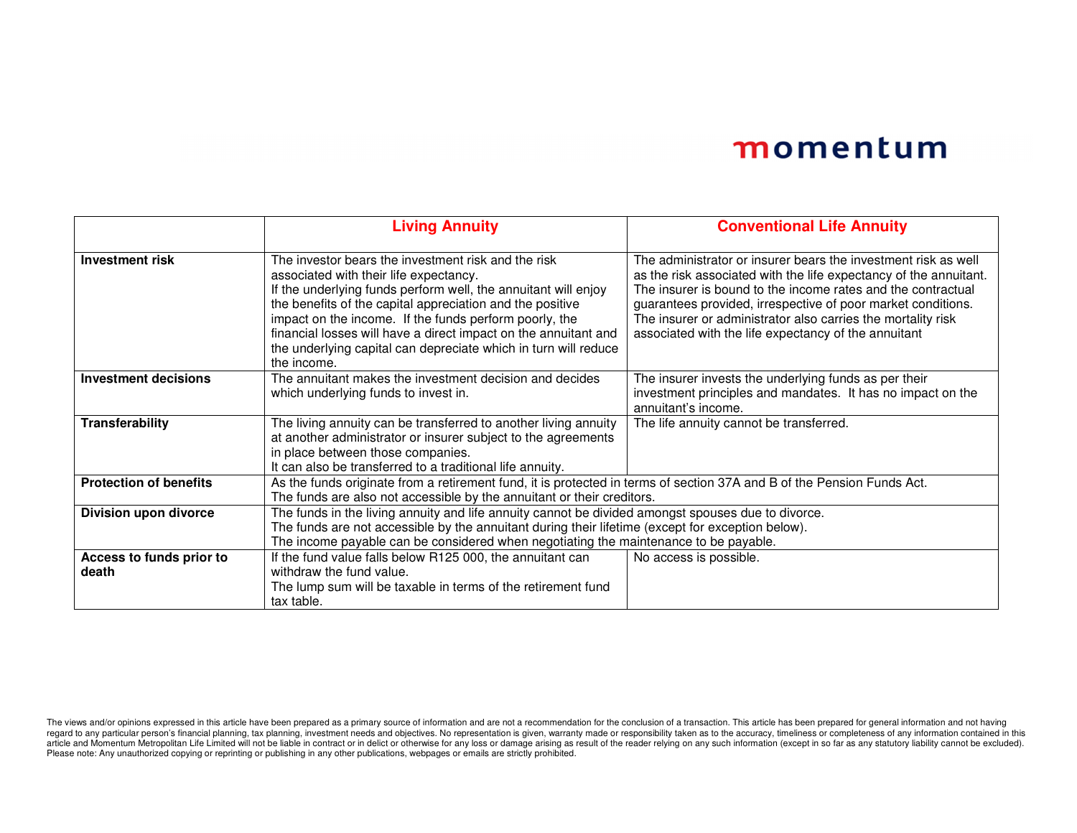|                               | <b>Living Annuity</b>                                                                                                  | <b>Conventional Life Annuity</b>                                                                                                  |  |
|-------------------------------|------------------------------------------------------------------------------------------------------------------------|-----------------------------------------------------------------------------------------------------------------------------------|--|
|                               |                                                                                                                        |                                                                                                                                   |  |
| <b>Investment risk</b>        | The investor bears the investment risk and the risk                                                                    | The administrator or insurer bears the investment risk as well                                                                    |  |
|                               | associated with their life expectancy.<br>If the underlying funds perform well, the annuitant will enjoy               | as the risk associated with the life expectancy of the annuitant.<br>The insurer is bound to the income rates and the contractual |  |
|                               | the benefits of the capital appreciation and the positive                                                              | guarantees provided, irrespective of poor market conditions.                                                                      |  |
|                               | impact on the income. If the funds perform poorly, the                                                                 | The insurer or administrator also carries the mortality risk                                                                      |  |
|                               | financial losses will have a direct impact on the annuitant and                                                        | associated with the life expectancy of the annuitant                                                                              |  |
|                               | the underlying capital can depreciate which in turn will reduce                                                        |                                                                                                                                   |  |
|                               | the income.                                                                                                            |                                                                                                                                   |  |
| <b>Investment decisions</b>   | The annuitant makes the investment decision and decides                                                                | The insurer invests the underlying funds as per their                                                                             |  |
|                               | which underlying funds to invest in.                                                                                   | investment principles and mandates. It has no impact on the<br>annuitant's income.                                                |  |
| Transferability               | The living annuity can be transferred to another living annuity                                                        |                                                                                                                                   |  |
|                               | at another administrator or insurer subject to the agreements                                                          | The life annuity cannot be transferred.                                                                                           |  |
|                               | in place between those companies.                                                                                      |                                                                                                                                   |  |
|                               | It can also be transferred to a traditional life annuity.                                                              |                                                                                                                                   |  |
| <b>Protection of benefits</b> | As the funds originate from a retirement fund, it is protected in terms of section 37A and B of the Pension Funds Act. |                                                                                                                                   |  |
|                               | The funds are also not accessible by the annuitant or their creditors.                                                 |                                                                                                                                   |  |
| Division upon divorce         | The funds in the living annuity and life annuity cannot be divided amongst spouses due to divorce.                     |                                                                                                                                   |  |
|                               | The funds are not accessible by the annuitant during their lifetime (except for exception below).                      |                                                                                                                                   |  |
|                               | The income payable can be considered when negotiating the maintenance to be payable.                                   |                                                                                                                                   |  |
| Access to funds prior to      | If the fund value falls below R125 000, the annuitant can                                                              | No access is possible.                                                                                                            |  |
| death                         | withdraw the fund value.                                                                                               |                                                                                                                                   |  |
|                               | The lump sum will be taxable in terms of the retirement fund                                                           |                                                                                                                                   |  |
|                               | tax table.                                                                                                             |                                                                                                                                   |  |

The views and/or opinions expressed in this article have been prepared as a primary source of information and are not a recommendation for the conclusion of a transaction. This article has been prepared for general informa Please note: Any unauthorized copying or reprinting or publishing in any other publications, webpages or emails are strictly prohibited.